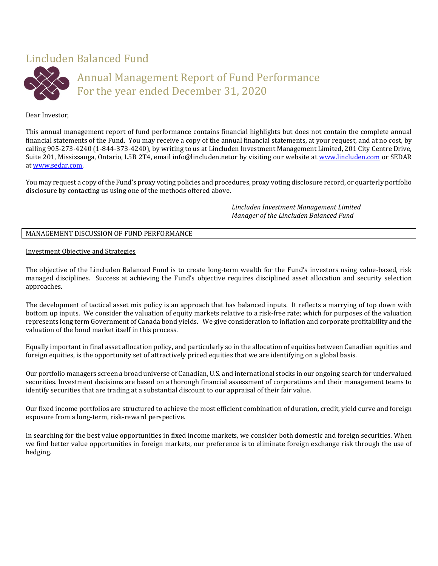# Lincluden Balanced Fund



# Annual Management Report of Fund Performance For the year ended December 31, 2020

# Dear Investor,

This annual management report of fund performance contains financial highlights but does not contain the complete annual financial statements of the Fund. You may receive a copy of the annual financial statements, at your request, and at no cost, by calling 905-273-4240 (1-844-373-4240), by writing to us at Lincluden Investment Management Limited, 201 City Centre Drive, Suite 201, Mississauga, Ontario, L5B 2T4, email info@lincluden.netor by visiting our website at [www.lincluden.com](http://www.lincluden.com/) or SEDAR a[t www.sedar.com.](http://www.sedar.com/)

You may request a copy of the Fund's proxy voting policies and procedures, proxy voting disclosure record, or quarterly portfolio disclosure by contacting us using one of the methods offered above.

> *Lincluden Investment Management Limited Manager of the Lincluden Balanced Fund*

# MANAGEMENT DISCUSSION OF FUND PERFORMANCE

## Investment Objective and Strategies

The objective of the Lincluden Balanced Fund is to create long-term wealth for the Fund's investors using value-based, risk managed disciplines. Success at achieving the Fund's objective requires disciplined asset allocation and security selection approaches.

The development of tactical asset mix policy is an approach that has balanced inputs. It reflects a marrying of top down with bottom up inputs. We consider the valuation of equity markets relative to a risk-free rate; which for purposes of the valuation represents long term Government of Canada bond yields. We give consideration to inflation and corporate profitability and the valuation of the bond market itself in this process.

Equally important in final asset allocation policy, and particularly so in the allocation of equities between Canadian equities and foreign equities, is the opportunity set of attractively priced equities that we are identifying on a global basis.

Our portfolio managers screen a broad universe of Canadian, U.S. and international stocks in our ongoing search for undervalued securities. Investment decisions are based on a thorough financial assessment of corporations and their management teams to identify securities that are trading at a substantial discount to our appraisal of their fair value.

Our fixed income portfolios are structured to achieve the most efficient combination of duration, credit, yield curve and foreign exposure from a long-term, risk-reward perspective.

In searching for the best value opportunities in fixed income markets, we consider both domestic and foreign securities. When we find better value opportunities in foreign markets, our preference is to eliminate foreign exchange risk through the use of hedging.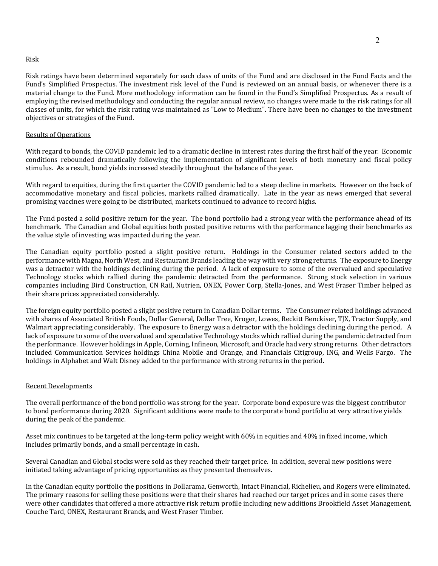### Risk

Risk ratings have been determined separately for each class of units of the Fund and are disclosed in the Fund Facts and the Fund's Simplified Prospectus. The investment risk level of the Fund is reviewed on an annual basis, or whenever there is a material change to the Fund. More methodology information can be found in the Fund's Simplified Prospectus. As a result of employing the revised methodology and conducting the regular annual review, no changes were made to the risk ratings for all classes of units, for which the risk rating was maintained as "Low to Medium". There have been no changes to the investment objectives or strategies of the Fund.

### Results of Operations

With regard to bonds, the COVID pandemic led to a dramatic decline in interest rates during the first half of the year. Economic conditions rebounded dramatically following the implementation of significant levels of both monetary and fiscal policy stimulus. As a result, bond yields increased steadily throughout the balance of the year.

With regard to equities, during the first quarter the COVID pandemic led to a steep decline in markets. However on the back of accommodative monetary and fiscal policies, markets rallied dramatically. Late in the year as news emerged that several promising vaccines were going to be distributed, markets continued to advance to record highs.

The Fund posted a solid positive return for the year. The bond portfolio had a strong year with the performance ahead of its benchmark. The Canadian and Global equities both posted positive returns with the performance lagging their benchmarks as the value style of investing was impacted during the year.

The Canadian equity portfolio posted a slight positive return. Holdings in the Consumer related sectors added to the performance with Magna, North West, and Restaurant Brands leading the way with very strong returns. The exposure to Energy was a detractor with the holdings declining during the period. A lack of exposure to some of the overvalued and speculative Technology stocks which rallied during the pandemic detracted from the performance. Strong stock selection in various companies including Bird Construction, CN Rail, Nutrien, ONEX, Power Corp, Stella-Jones, and West Fraser Timber helped as their share prices appreciated considerably.

The foreign equity portfolio posted a slight positive return in Canadian Dollar terms. The Consumer related holdings advanced with shares of Associated British Foods, Dollar General, Dollar Tree, Kroger, Lowes, Reckitt Benckiser, TJX, Tractor Supply, and Walmart appreciating considerably. The exposure to Energy was a detractor with the holdings declining during the period. A lack of exposure to some of the overvalued and speculative Technology stocks which rallied during the pandemic detracted from the performance. However holdings in Apple, Corning, Infineon, Microsoft, and Oracle had very strong returns. Other detractors included Communication Services holdings China Mobile and Orange, and Financials Citigroup, ING, and Wells Fargo. The holdings in Alphabet and Walt Disney added to the performance with strong returns in the period.

### Recent Developments

The overall performance of the bond portfolio was strong for the year. Corporate bond exposure was the biggest contributor to bond performance during 2020. Significant additions were made to the corporate bond portfolio at very attractive yields during the peak of the pandemic.

Asset mix continues to be targeted at the long-term policy weight with 60% in equities and 40% in fixed income, which includes primarily bonds, and a small percentage in cash.

Several Canadian and Global stocks were sold as they reached their target price. In addition, several new positions were initiated taking advantage of pricing opportunities as they presented themselves.

In the Canadian equity portfolio the positions in Dollarama, Genworth, Intact Financial, Richelieu, and Rogers were eliminated. The primary reasons for selling these positions were that their shares had reached our target prices and in some cases there were other candidates that offered a more attractive risk return profile including new additions Brookfield Asset Management, Couche Tard, ONEX, Restaurant Brands, and West Fraser Timber.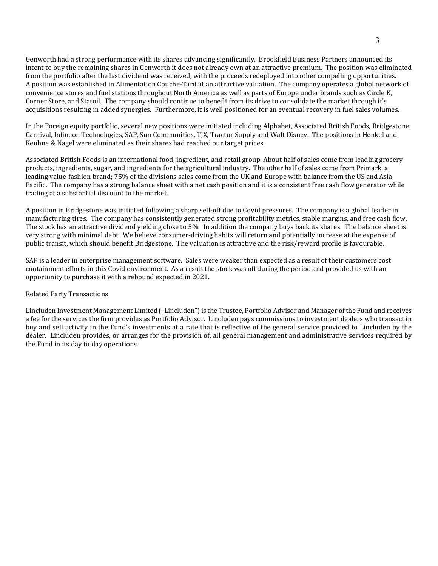Genworth had a strong performance with its shares advancing significantly. Brookfield Business Partners announced its intent to buy the remaining shares in Genworth it does not already own at an attractive premium. The position was eliminated from the portfolio after the last dividend was received, with the proceeds redeployed into other compelling opportunities. A position was established in Alimentation Couche-Tard at an attractive valuation. The company operates a global network of convenience stores and fuel stations throughout North America as well as parts of Europe under brands such as Circle K, Corner Store, and Statoil. The company should continue to benefit from its drive to consolidate the market through it's acquisitions resulting in added synergies. Furthermore, it is well positioned for an eventual recovery in fuel sales volumes.

In the Foreign equity portfolio, several new positions were initiated including Alphabet, Associated British Foods, Bridgestone, Carnival, Infineon Technologies, SAP, Sun Communities, TJX, Tractor Supply and Walt Disney. The positions in Henkel and Keuhne & Nagel were eliminated as their shares had reached our target prices.

Associated British Foods is an international food, ingredient, and retail group. About half of sales come from leading grocery products, ingredients, sugar, and ingredients for the agricultural industry. The other half of sales come from Primark, a leading value-fashion brand; 75% of the divisions sales come from the UK and Europe with balance from the US and Asia Pacific. The company has a strong balance sheet with a net cash position and it is a consistent free cash flow generator while trading at a substantial discount to the market.

A position in Bridgestone was initiated following a sharp sell-off due to Covid pressures. The company is a global leader in manufacturing tires. The company has consistently generated strong profitability metrics, stable margins, and free cash flow. The stock has an attractive dividend yielding close to 5%. In addition the company buys back its shares. The balance sheet is very strong with minimal debt. We believe consumer-driving habits will return and potentially increase at the expense of public transit, which should benefit Bridgestone. The valuation is attractive and the risk/reward profile is favourable.

SAP is a leader in enterprise management software. Sales were weaker than expected as a result of their customers cost containment efforts in this Covid environment. As a result the stock was off during the period and provided us with an opportunity to purchase it with a rebound expected in 2021.

#### Related Party Transactions

Lincluden Investment Management Limited ("Lincluden") is the Trustee, Portfolio Advisor and Manager of the Fund and receives a fee for the services the firm provides as Portfolio Advisor. Lincluden pays commissions to investment dealers who transact in buy and sell activity in the Fund's investments at a rate that is reflective of the general service provided to Lincluden by the dealer. Lincluden provides, or arranges for the provision of, all general management and administrative services required by the Fund in its day to day operations.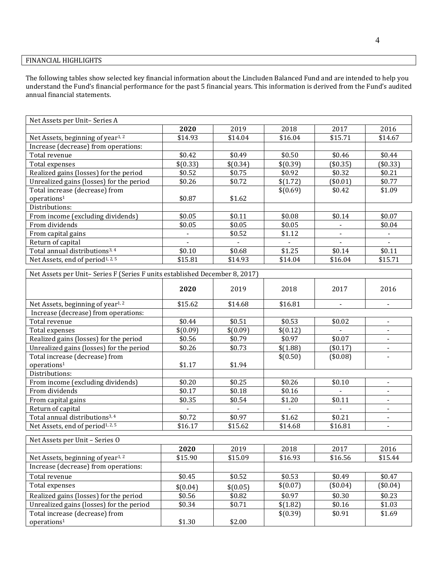# FINANCIAL HIGHLIGHTS

The following tables show selected key financial information about the Lincluden Balanced Fund and are intended to help you understand the Fund's financial performance for the past 5 financial years. This information is derived from the Fund's audited annual financial statements.

| Net Assets per Unit-Series A                 |          |                          |          |          |          |
|----------------------------------------------|----------|--------------------------|----------|----------|----------|
|                                              | 2020     | 2019                     | 2018     | 2017     | 2016     |
| Net Assets, beginning of year <sup>1,2</sup> | \$14.93  | \$14.04                  | \$16.04  | \$15.71  | \$14.67  |
| Increase (decrease) from operations:         |          |                          |          |          |          |
| Total revenue                                | \$0.42   | \$0.49                   | \$0.50   | \$0.46   | \$0.44   |
| Total expenses                               | \$(0.33) | \$(0.34)                 | \$(0.39) | (\$0.35) | (\$0.33) |
| Realized gains (losses) for the period       | \$0.52   | \$0.75                   | \$0.92   | \$0.32   | \$0.21   |
| Unrealized gains (losses) for the period     | \$0.26   | \$0.72                   | \$(1.72) | (\$0.01) | \$0.77   |
| Total increase (decrease) from               |          |                          | \$(0.69) | \$0.42   | \$1.09   |
| operations <sup>1</sup>                      | \$0.87   | \$1.62                   |          |          |          |
| Distributions:                               |          |                          |          |          |          |
| From income (excluding dividends)            | \$0.05   | \$0.11                   | \$0.08   | \$0.14   | \$0.07   |
| From dividends                               | \$0.05   | \$0.05                   | \$0.05   |          | \$0.04   |
| From capital gains                           |          | \$0.52                   | \$1.12   |          |          |
| Return of capital                            |          | $\overline{\phantom{a}}$ |          |          |          |
| Total annual distributions <sup>3, 4</sup>   | \$0.10   | \$0.68                   | \$1.25   | \$0.14   | \$0.11   |
| Net Assets, end of period <sup>1, 2, 5</sup> | \$15.81  | \$14.93                  | \$14.04  | \$16.04  | \$15.71  |

| Net Assets per Unit-Series F (Series F units established December 8, 2017) |          |                          |                |                          |                          |
|----------------------------------------------------------------------------|----------|--------------------------|----------------|--------------------------|--------------------------|
|                                                                            | 2020     | 2019                     | 2018           | 2017                     | 2016                     |
| Net Assets, beginning of year <sup>1,2</sup>                               | \$15.62  | \$14.68                  | \$16.81        | $\overline{\phantom{a}}$ | $\overline{\phantom{a}}$ |
| Increase (decrease) from operations:                                       |          |                          |                |                          |                          |
| Total revenue                                                              | \$0.44   | \$0.51                   | \$0.53         | \$0.02                   | $\overline{\phantom{a}}$ |
| Total expenses                                                             | \$(0.09) | \$(0.09)                 | \$(0.12)       |                          |                          |
| Realized gains (losses) for the period                                     | \$0.56   | \$0.79                   | \$0.97         | \$0.07                   | $\overline{\phantom{a}}$ |
| Unrealized gains (losses) for the period                                   | \$0.26   | \$0.73                   | \$(1.88)       | $(\$0.17)$               | $\overline{\phantom{a}}$ |
| Total increase (decrease) from                                             |          |                          | \$(0.50)       | (\$0.08)                 |                          |
| operations <sup>1</sup>                                                    | \$1.17   | \$1.94                   |                |                          |                          |
| Distributions:                                                             |          |                          |                |                          |                          |
| From income (excluding dividends)                                          | \$0.20   | \$0.25                   | \$0.26         | \$0.10                   | $\blacksquare$           |
| From dividends                                                             | \$0.17   | \$0.18                   | \$0.16         |                          | $\overline{\phantom{a}}$ |
| From capital gains                                                         | \$0.35   | \$0.54                   | \$1.20         | \$0.11                   | $\blacksquare$           |
| Return of capital                                                          |          | $\overline{\phantom{a}}$ | $\blacksquare$ | $\blacksquare$           | $\overline{\phantom{a}}$ |
| Total annual distributions <sup>3, 4</sup>                                 | \$0.72   | \$0.97                   | \$1.62         | \$0.21                   | $\blacksquare$           |
| Net Assets, end of period <sup>1, 2, 5</sup>                               | \$16.17  | \$15.62                  | \$14.68        | \$16.81                  | $\overline{\phantom{a}}$ |
| Net Assets per Unit - Series O                                             |          |                          |                |                          |                          |
|                                                                            | 2020     | 2019                     | 2018           | 2017                     | 2016                     |
| Net Assets, beginning of year <sup>1,2</sup>                               | \$15.90  | \$15.09                  | \$16.93        | \$16.56                  | \$15.44                  |
| Increase (decrease) from operations:                                       |          |                          |                |                          |                          |
| Total revenue                                                              | \$0.45   | \$0.52                   | \$0.53         | \$0.49                   | \$0.47                   |
| Total expenses                                                             | \$(0.04) | \$(0.05)                 | \$(0.07)       | (\$0.04)                 | (\$0.04)                 |
| Realized gains (losses) for the period                                     | \$0.56   | \$0.82                   | \$0.97         | \$0.30                   | \$0.23                   |
| Unrealized gains (losses) for the period                                   | \$0.34   | \$0.71                   | \$(1.82)       | \$0.16                   | \$1.03                   |
| Total increase (decrease) from                                             |          |                          | \$(0.39)       | \$0.91                   | \$1.69                   |
| operations <sup>1</sup>                                                    | \$1.30   | \$2.00                   |                |                          |                          |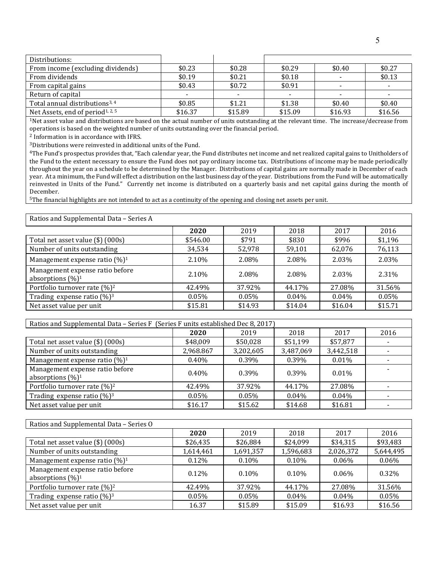| Distributions:                               |         |         |         |         |         |
|----------------------------------------------|---------|---------|---------|---------|---------|
| From income (excluding dividends)            | \$0.23  | \$0.28  | \$0.29  | \$0.40  | \$0.27  |
| From dividends                               | \$0.19  | \$0.21  | \$0.18  |         | \$0.13  |
| From capital gains                           | \$0.43  | \$0.72  | \$0.91  |         |         |
| Return of capital                            |         |         |         |         |         |
| Total annual distributions <sup>3, 4</sup>   | \$0.85  | \$1.21  | \$1.38  | \$0.40  | \$0.40  |
| Net Assets, end of period <sup>1, 2, 5</sup> | \$16.37 | \$15.89 | \$15.09 | \$16.93 | \$16.56 |

<sup>1</sup>Net asset value and distributions are based on the actual number of units outstanding at the relevant time. The increase/decrease from operations is based on the weighted number of units outstanding over the financial period.

<sup>2</sup> Information is in accordance with IFRS.

3Distributions were reinvested in additional units of the Fund.

4The Fund's prospectus provides that, "Each calendar year, the Fund distributes net income and net realized capital gains to Unitholders of the Fund to the extent necessary to ensure the Fund does not pay ordinary income tax. Distributions of income may be made periodically throughout the year on a schedule to be determined by the Manager. Distributions of capital gains are normally made in December of each year. At a minimum, the Fund will effect a distribution on the last business day of the year. Distributions from the Fund will be automatically reinvested in Units of the Fund." Currently net income is distributed on a quarterly basis and net capital gains during the month of December.

5The financial highlights are not intended to act as a continuity of the opening and closing net assets per unit.

Ratios and Supplemental Data – Series A

|                                                         | 2020     | 2019     | 2018     | 2017     | 2016    |
|---------------------------------------------------------|----------|----------|----------|----------|---------|
| Total net asset value (\$) (000s)                       | \$546.00 | \$791    | \$830    | \$996    | \$1,196 |
| Number of units outstanding                             | 34,534   | 52,978   | 59,101   | 62,076   | 76,113  |
| Management expense ratio $(\%)^1$                       | 2.10%    | 2.08%    | 2.08%    | 2.03%    | 2.03%   |
| Management expense ratio before<br>absorptions $(\%)^1$ | 2.10%    | 2.08%    | 2.08%    | 2.03%    | 2.31%   |
| Portfolio turnover rate (%) <sup>2</sup>                | 42.49%   | 37.92%   | 44.17%   | 27.08%   | 31.56%  |
| Trading expense ratio $(\%)^3$                          | $0.05\%$ | $0.05\%$ | $0.04\%$ | $0.04\%$ | 0.05%   |
| Net asset value per unit                                | \$15.81  | \$14.93  | \$14.04  | \$16.04  | \$15.71 |
|                                                         |          |          |          |          |         |

| Ratios and Supplemental Data - Series F (Series F units established Dec 8, 2017) |           |           |           |           |      |
|----------------------------------------------------------------------------------|-----------|-----------|-----------|-----------|------|
|                                                                                  | 2020      | 2019      | 2018      | 2017      | 2016 |
| Total net asset value (\$) (000s)                                                | \$48,009  | \$50,028  | \$51,199  | \$57,877  |      |
| Number of units outstanding                                                      | 2,968.867 | 3,202,605 | 3,487,069 | 3,442,518 |      |
| Management expense ratio $(\%)^1$                                                | $0.40\%$  | 0.39%     | $0.39\%$  | 0.01%     |      |
| Management expense ratio before<br>absorptions $(\%)^1$                          | $0.40\%$  | 0.39%     | 0.39%     | $0.01\%$  |      |
| Portfolio turnover rate (%) <sup>2</sup>                                         | 42.49%    | 37.92%    | 44.17%    | 27.08%    |      |
| Trading expense ratio $(\%)$ <sup>3</sup>                                        | 0.05%     | $0.05\%$  | $0.04\%$  | 0.04%     |      |
| Net asset value per unit                                                         | \$16.17   | \$15.62   | \$14.68   | \$16.81   |      |

| Ratios and Supplemental Data – Series O                 |           |           |           |           |           |
|---------------------------------------------------------|-----------|-----------|-----------|-----------|-----------|
|                                                         | 2020      | 2019      | 2018      | 2017      | 2016      |
| Total net asset value (\$) (000s)                       | \$26,435  | \$26,884  | \$24,099  | \$34,315  | \$93,483  |
| Number of units outstanding                             | 1,614,461 | 1,691,357 | 1,596,683 | 2,026,372 | 5,644,495 |
| Management expense ratio $(\%)^1$                       | 0.12%     | $0.10\%$  | 0.10%     | $0.06\%$  | $0.06\%$  |
| Management expense ratio before<br>absorptions $(\%)^1$ | $0.12\%$  | $0.10\%$  | $0.10\%$  | $0.06\%$  | 0.32%     |
| Portfolio turnover rate $(\%)^2$                        | 42.49%    | 37.92%    | 44.17%    | 27.08%    | 31.56%    |
| Trading expense ratio $(\%)^3$                          | $0.05\%$  | $0.05\%$  | $0.04\%$  | $0.04\%$  | 0.05%     |
| Net asset value per unit                                | 16.37     | \$15.89   | \$15.09   | \$16.93   | \$16.56   |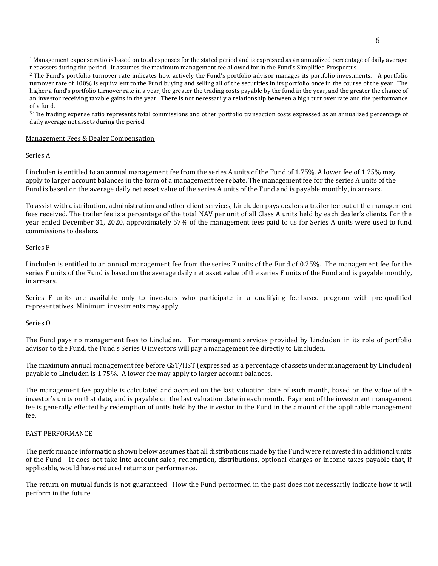$1$  Management expense ratio is based on total expenses for the stated period and is expressed as an annualized percentage of daily average net assets during the period. It assumes the maximum management fee allowed for in the Fund's Simplified Prospectus.

<sup>2</sup> The Fund's portfolio turnover rate indicates how actively the Fund's portfolio advisor manages its portfolio investments. A portfolio turnover rate of 100% is equivalent to the Fund buying and selling all of the securities in its portfolio once in the course of the year. The higher a fund's portfolio turnover rate in a year, the greater the trading costs payable by the fund in the year, and the greater the chance of an investor receiving taxable gains in the year. There is not necessarily a relationship between a high turnover rate and the performance of a fund.

<sup>3</sup> The trading expense ratio represents total commissions and other portfolio transaction costs expressed as an annualized percentage of daily average net assets during the period.

### Management Fees & Dealer Compensation

### Series A

Lincluden is entitled to an annual management fee from the series A units of the Fund of 1.75%. A lower fee of 1.25% may apply to larger account balances in the form of a management fee rebate. The management fee for the series A units of the Fund is based on the average daily net asset value of the series A units of the Fund and is payable monthly, in arrears.

To assist with distribution, administration and other client services, Lincluden pays dealers a trailer fee out of the management fees received. The trailer fee is a percentage of the total NAV per unit of all Class A units held by each dealer's clients. For the year ended December 31, 2020, approximately 57% of the management fees paid to us for Series A units were used to fund commissions to dealers.

### Series F

Lincluden is entitled to an annual management fee from the series F units of the Fund of 0.25%. The management fee for the series F units of the Fund is based on the average daily net asset value of the series F units of the Fund and is payable monthly, in arrears.

Series F units are available only to investors who participate in a qualifying fee-based program with pre-qualified representatives. Minimum investments may apply.

#### Series O

The Fund pays no management fees to Lincluden. For management services provided by Lincluden, in its role of portfolio advisor to the Fund, the Fund's Series O investors will pay a management fee directly to Lincluden.

The maximum annual management fee before GST/HST (expressed as a percentage of assets under management by Lincluden) payable to Lincluden is 1.75%. A lower fee may apply to larger account balances.

The management fee payable is calculated and accrued on the last valuation date of each month, based on the value of the investor's units on that date, and is payable on the last valuation date in each month. Payment of the investment management fee is generally effected by redemption of units held by the investor in the Fund in the amount of the applicable management fee.

### PAST PERFORMANCE

The performance information shown below assumes that all distributions made by the Fund were reinvested in additional units of the Fund. It does not take into account sales, redemption, distributions, optional charges or income taxes payable that, if applicable, would have reduced returns or performance.

The return on mutual funds is not guaranteed. How the Fund performed in the past does not necessarily indicate how it will perform in the future.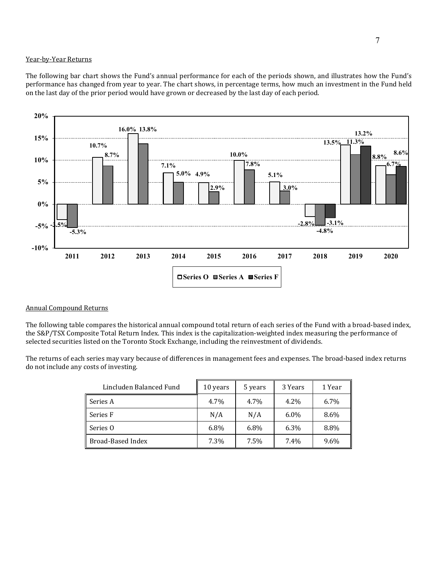## Year-by-Year Returns

The following bar chart shows the Fund's annual performance for each of the periods shown, and illustrates how the Fund's performance has changed from year to year. The chart shows, in percentage terms, how much an investment in the Fund held on the last day of the prior period would have grown or decreased by the last day of each period.



## Annual Compound Returns

The following table compares the historical annual compound total return of each series of the Fund with a broad-based index, the S&P/TSX Composite Total Return Index. This index is the capitalization-weighted index measuring the performance of selected securities listed on the Toronto Stock Exchange, including the reinvestment of dividends.

The returns of each series may vary because of differences in management fees and expenses. The broad-based index returns do not include any costs of investing.

| Lincluden Balanced Fund | 10 years | 5 years | 3 Years | 1 Year |
|-------------------------|----------|---------|---------|--------|
| Series A                | 4.7%     | 4.7%    | 4.2%    | 6.7%   |
| Series F                | N/A      | N/A     | $6.0\%$ | 8.6%   |
| Series O                | 6.8%     | 6.8%    | 6.3%    | 8.8%   |
| Broad-Based Index       | 7.3%     | 7.5%    | 7.4%    | 9.6%   |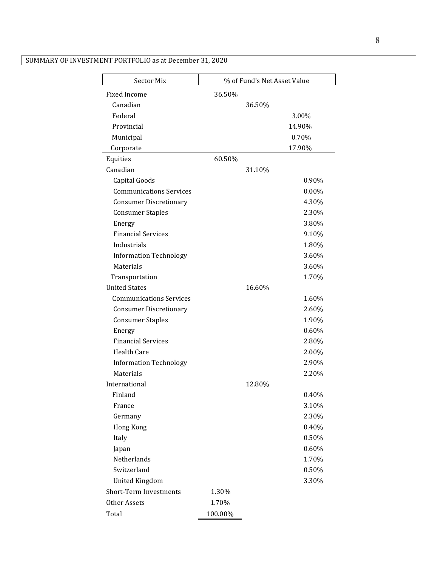| Sector Mix                     | % of Fund's Net Asset Value |        |          |  |
|--------------------------------|-----------------------------|--------|----------|--|
| <b>Fixed Income</b>            | 36.50%                      |        |          |  |
| Canadian                       |                             | 36.50% |          |  |
| Federal                        |                             |        | $3.00\%$ |  |
| Provincial                     |                             |        | 14.90%   |  |
| Municipal                      |                             |        | 0.70%    |  |
| Corporate                      |                             |        | 17.90%   |  |
| Equities                       | 60.50%                      |        |          |  |
| Canadian                       |                             | 31.10% |          |  |
| Capital Goods                  |                             |        | 0.90%    |  |
| <b>Communications Services</b> |                             |        | $0.00\%$ |  |
| <b>Consumer Discretionary</b>  |                             |        | 4.30%    |  |
| <b>Consumer Staples</b>        |                             |        | 2.30%    |  |
| Energy                         |                             |        | 3.80%    |  |
| <b>Financial Services</b>      |                             |        | 9.10%    |  |
| Industrials                    |                             |        | 1.80%    |  |
| <b>Information Technology</b>  |                             |        | 3.60%    |  |
| Materials                      |                             |        | 3.60%    |  |
| Transportation                 |                             |        | 1.70%    |  |
| <b>United States</b>           |                             | 16.60% |          |  |
| <b>Communications Services</b> |                             |        | 1.60%    |  |
| <b>Consumer Discretionary</b>  |                             |        | 2.60%    |  |
| <b>Consumer Staples</b>        |                             |        | 1.90%    |  |
| Energy                         |                             |        | 0.60%    |  |
| <b>Financial Services</b>      |                             |        | 2.80%    |  |
| <b>Health Care</b>             |                             |        | 2.00%    |  |
| <b>Information Technology</b>  |                             |        | 2.90%    |  |
| Materials                      |                             |        | 2.20%    |  |
| International                  |                             | 12.80% |          |  |
| Finland                        |                             |        | 0.40%    |  |
| France                         |                             |        | 3.10%    |  |
| Germany                        |                             |        | 2.30%    |  |
| <b>Hong Kong</b>               |                             |        | 0.40%    |  |
| Italy                          |                             |        | 0.50%    |  |
| Japan                          |                             |        | 0.60%    |  |
| Netherlands                    |                             |        | 1.70%    |  |
| Switzerland                    |                             |        | 0.50%    |  |
| <b>United Kingdom</b>          |                             |        | 3.30%    |  |
| Short-Term Investments         | 1.30%                       |        |          |  |
| Other Assets                   | 1.70%                       |        |          |  |
| Total                          | 100.00%                     |        |          |  |

# SUMMARY OF INVESTMENT PORTFOLIO as at December 31, 2020